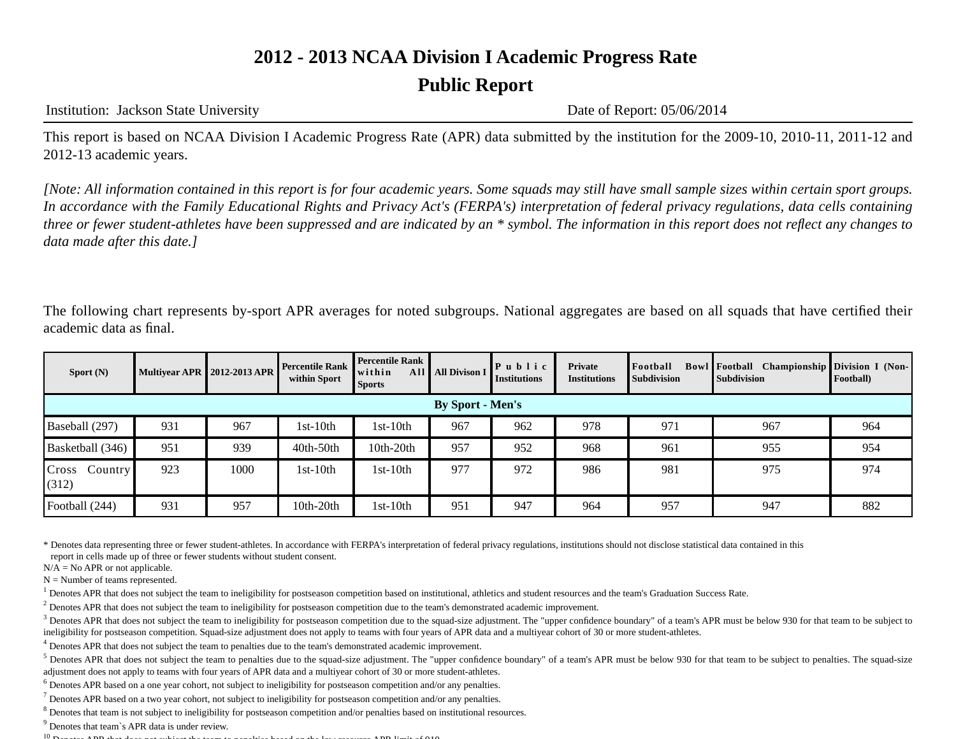## **Public Report**

Institution: Jackson State University Date of Report: 05/06/2014

This report is based on NCAA Division I Academic Progress Rate (APR) data submitted by the institution for the 2009-10, 2010-11, 2011-12 and 2012-13 academic years.

*[Note: All information contained in this report is for four academic years. Some squads may still have small sample sizes within certain sport groups. In accordance with the Family Educational Rights and Privacy Act's (FERPA's) interpretation of federal privacy regulations, data cells containing three or fewer student-athletes have been suppressed and are indicated by an \* symbol. The information in this report does not reflect any changes to data made after this date.]*

The following chart represents by-sport APR averages for noted subgroups. National aggregates are based on all squads that have certified their academic data as final.

| Sport $(N)$               |                         | <b>Multivear APR 2012-2013 APR</b> | <b>Percentile Rank</b><br>within Sport | <b>Percentile Rank</b><br>within<br>All I<br><b>Sports</b> | <b>All Divison I</b> | $P$ ublic<br><b>Institutions</b> | Private<br><b>Institutions</b> | Football<br><b>Subdivision</b> | <b>Bowl Football</b> Championship Division I (Non-<br><b>Subdivision</b> | Football) |
|---------------------------|-------------------------|------------------------------------|----------------------------------------|------------------------------------------------------------|----------------------|----------------------------------|--------------------------------|--------------------------------|--------------------------------------------------------------------------|-----------|
|                           | <b>By Sport - Men's</b> |                                    |                                        |                                                            |                      |                                  |                                |                                |                                                                          |           |
| Baseball (297)            | 931                     | 967                                | $1st-10th$                             | lst-10th                                                   | 967                  | 962                              | 978                            | 971                            | 967                                                                      | 964       |
| Basketball (346)          | 951                     | 939                                | $40th-50th$                            | 10th-20th                                                  | 957                  | 952                              | 968                            | 961                            | 955                                                                      | 954       |
| Cross<br>Country<br>(312) | 923                     | 1000                               | $1st-10th$                             | l st-10th                                                  | 977                  | 972                              | 986                            | 981                            | 975                                                                      | 974       |
| Football (244)            | 931                     | 957                                | $10th-20th$                            | l st-10th                                                  | 951                  | 947                              | 964                            | 957                            | 947                                                                      | 882       |

\* Denotes data representing three or fewer student-athletes. In accordance with FERPA's interpretation of federal privacy regulations, institutions should not disclose statistical data contained in this report in cells made up of three or fewer students without student consent.

 $N/A = No$  APR or not applicable.

 $N =$  Number of teams represented.

<sup>1</sup> Denotes APR that does not subject the team to ineligibility for postseason competition based on institutional, athletics and student resources and the team's Graduation Success Rate.

 $<sup>2</sup>$  Denotes APR that does not subject the team to ineligibility for postseason competition due to the team's demonstrated academic improvement.</sup>

 $3$  Denotes APR that does not subject the team to ineligibility for postseason competition due to the squad-size adjustment. The "upper confidence boundary" of a team's APR must be below 930 for that team to be subject to ineligibility for postseason competition. Squad-size adjustment does not apply to teams with four years of APR data and a multiyear cohort of 30 or more student-athletes.

<sup>4</sup> Denotes APR that does not subject the team to penalties due to the team's demonstrated academic improvement.

<sup>5</sup> Denotes APR that does not subject the team to penalties due to the squad-size adjustment. The "upper confidence boundary" of a team's APR must be below 930 for that team to be subject to penalties. The squad-size adjustment does not apply to teams with four years of APR data and a multiyear cohort of 30 or more student-athletes.

<sup>6</sup> Denotes APR based on a one year cohort, not subject to ineligibility for postseason competition and/or any penalties.

 $^7$  Denotes APR based on a two year cohort, not subject to ineligibility for postseason competition and/or any penalties.

<sup>8</sup> Denotes that team is not subject to ineligibility for postseason competition and/or penalties based on institutional resources.

<sup>9</sup> Denotes that team`s APR data is under review.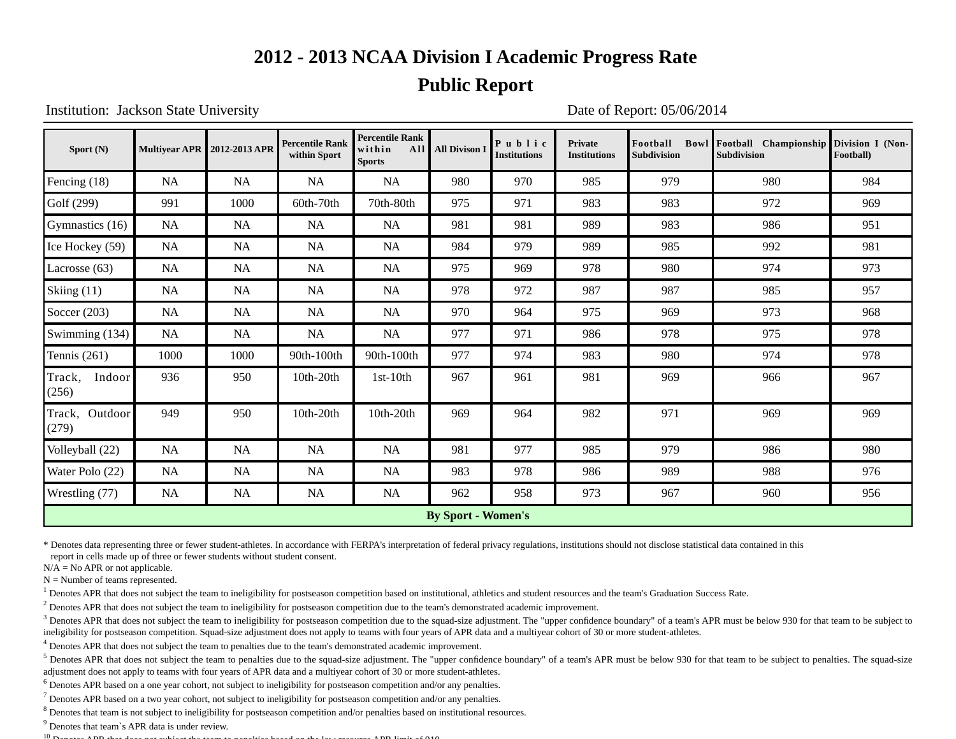#### **Public Report**

Institution: Jackson State University Date of Report: 05/06/2014

| Sport $(N)$                |           | Multivear APR 2012-2013 APR | <b>Percentile Rank</b><br>within Sport | <b>Percentile Rank</b><br>within<br>All<br><b>Sports</b> | <b>All Divison I</b> | Public<br><b>Institutions</b> | <b>Private</b><br><b>Institutions</b> | Foothall<br><b>Subdivision</b> | Bowl Football Championship<br><b>Subdivision</b> | Division I (Non-<br>Football) |  |
|----------------------------|-----------|-----------------------------|----------------------------------------|----------------------------------------------------------|----------------------|-------------------------------|---------------------------------------|--------------------------------|--------------------------------------------------|-------------------------------|--|
| Fencing (18)               | <b>NA</b> | <b>NA</b>                   | NA                                     | NA                                                       | 980                  | 970                           | 985                                   | 979                            | 980                                              | 984                           |  |
| Golf (299)                 | 991       | 1000                        | 60th-70th                              | 70th-80th                                                | 975                  | 971                           | 983                                   | 983                            | 972                                              | 969                           |  |
| Gymnastics (16)            | <b>NA</b> | <b>NA</b>                   | <b>NA</b>                              | NA                                                       | 981                  | 981                           | 989                                   | 983                            | 986                                              | 951                           |  |
| Ice Hockey (59)            | <b>NA</b> | <b>NA</b>                   | <b>NA</b>                              | <b>NA</b>                                                | 984                  | 979                           | 989                                   | 985                            | 992                                              | 981                           |  |
| Lacrosse $(63)$            | <b>NA</b> | <b>NA</b>                   | NA                                     | <b>NA</b>                                                | 975                  | 969                           | 978                                   | 980                            | 974                                              | 973                           |  |
| Skiing (11)                | NA        | NA                          | NA                                     | <b>NA</b>                                                | 978                  | 972                           | 987                                   | 987                            | 985                                              | 957                           |  |
| Soccer $(203)$             | <b>NA</b> | <b>NA</b>                   | <b>NA</b>                              | <b>NA</b>                                                | 970                  | 964                           | 975                                   | 969                            | 973                                              | 968                           |  |
| Swimming $(134)$           | <b>NA</b> | NA                          | NA                                     | NA                                                       | 977                  | 971                           | 986                                   | 978                            | 975                                              | 978                           |  |
| Tennis $(261)$             | 1000      | 1000                        | 90th-100th                             | 90th-100th                                               | 977                  | 974                           | 983                                   | 980                            | 974                                              | 978                           |  |
| Track,<br>Indoor<br>(256)  | 936       | 950                         | 10th-20th                              | $1st-10th$                                               | 967                  | 961                           | 981                                   | 969                            | 966                                              | 967                           |  |
| Outdoor<br>Track,<br>(279) | 949       | 950                         | 10th-20th                              | 10th-20th                                                | 969                  | 964                           | 982                                   | 971                            | 969                                              | 969                           |  |
| Volleyball (22)            | <b>NA</b> | NA                          | NA                                     | <b>NA</b>                                                | 981                  | 977                           | 985                                   | 979                            | 986                                              | 980                           |  |
| Water Polo (22)            | NA        | <b>NA</b>                   | NA                                     | <b>NA</b>                                                | 983                  | 978                           | 986                                   | 989                            | 988                                              | 976                           |  |
| Wrestling (77)             | NA        | <b>NA</b>                   | <b>NA</b>                              | <b>NA</b>                                                | 962                  | 958                           | 973                                   | 967                            | 960                                              | 956                           |  |
| <b>By Sport - Women's</b>  |           |                             |                                        |                                                          |                      |                               |                                       |                                |                                                  |                               |  |

\* Denotes data representing three or fewer student-athletes. In accordance with FERPA's interpretation of federal privacy regulations, institutions should not disclose statistical data contained in this

report in cells made up of three or fewer students without student consent.

 $N/A = No$  APR or not applicable.

 $N =$  Number of teams represented.

<sup>1</sup> Denotes APR that does not subject the team to ineligibility for postseason competition based on institutional, athletics and student resources and the team's Graduation Success Rate.

 $<sup>2</sup>$  Denotes APR that does not subject the team to ineligibility for postseason competition due to the team's demonstrated academic improvement.</sup>

 $3$  Denotes APR that does not subject the team to ineligibility for postseason competition due to the squad-size adjustment. The "upper confidence boundary" of a team's APR must be below 930 for that team to be subject to ineligibility for postseason competition. Squad-size adjustment does not apply to teams with four years of APR data and a multiyear cohort of 30 or more student-athletes.

<sup>4</sup> Denotes APR that does not subject the team to penalties due to the team's demonstrated academic improvement.

<sup>5</sup> Denotes APR that does not subject the team to penalties due to the squad-size adjustment. The "upper confidence boundary" of a team's APR must be below 930 for that team to be subject to penalties. The squad-size adjustment does not apply to teams with four years of APR data and a multiyear cohort of 30 or more student-athletes.

<sup>6</sup> Denotes APR based on a one year cohort, not subject to ineligibility for postseason competition and/or any penalties.

 $^7$  Denotes APR based on a two year cohort, not subject to ineligibility for postseason competition and/or any penalties.

<sup>8</sup> Denotes that team is not subject to ineligibility for postseason competition and/or penalties based on institutional resources.

<sup>9</sup> Denotes that team`s APR data is under review.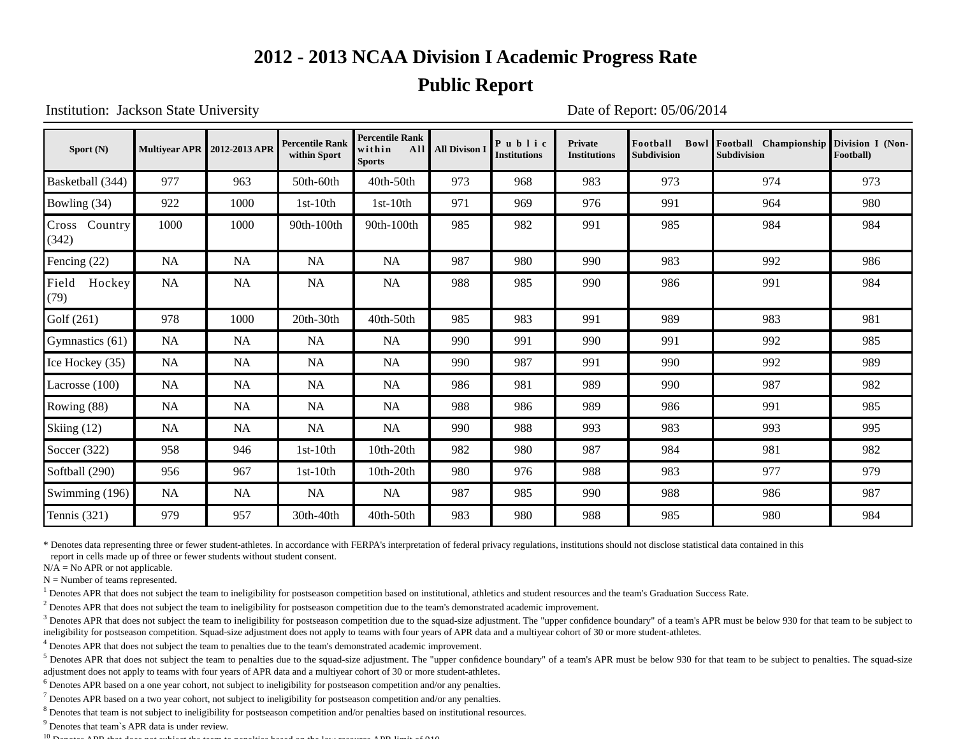#### **Public Report**

Institution: Jackson State University Date of Report: 05/06/2014

| Sport $(N)$            |           | <b>Multiyear APR 2012-2013 APR</b> | <b>Percentile Rank</b><br>within Sport | <b>Percentile Rank</b><br>within<br>All<br><b>Sports</b> | <b>All Divison I</b> | Public<br><b>Institutions</b> | <b>Private</b><br><b>Institutions</b> | Football<br>Subdivision | Bowl Football Championship<br>Subdivision | Division I (Non-<br>Football) |
|------------------------|-----------|------------------------------------|----------------------------------------|----------------------------------------------------------|----------------------|-------------------------------|---------------------------------------|-------------------------|-------------------------------------------|-------------------------------|
| Basketball (344)       | 977       | 963                                | 50th-60th                              | 40th-50th                                                | 973                  | 968                           | 983                                   | 973                     | 974                                       | 973                           |
| Bowling (34)           | 922       | 1000                               | $1st-10th$                             | $1st-10th$                                               | 971                  | 969                           | 976                                   | 991                     | 964                                       | 980                           |
| Cross Country<br>(342) | 1000      | 1000                               | 90th-100th                             | 90th-100th                                               | 985                  | 982                           | 991                                   | 985                     | 984                                       | 984                           |
| Fencing (22)           | <b>NA</b> | <b>NA</b>                          | <b>NA</b>                              | <b>NA</b>                                                | 987                  | 980                           | 990                                   | 983                     | 992                                       | 986                           |
| Field Hockey<br>(79)   | NA        | <b>NA</b>                          | <b>NA</b>                              | <b>NA</b>                                                | 988                  | 985                           | 990                                   | 986                     | 991                                       | 984                           |
| Golf (261)             | 978       | 1000                               | 20th-30th                              | 40th-50th                                                | 985                  | 983                           | 991                                   | 989                     | 983                                       | 981                           |
| Gymnastics (61)        | <b>NA</b> | <b>NA</b>                          | NA                                     | <b>NA</b>                                                | 990                  | 991                           | 990                                   | 991                     | 992                                       | 985                           |
| Ice Hockey (35)        | NA        | <b>NA</b>                          | NA                                     | <b>NA</b>                                                | 990                  | 987                           | 991                                   | 990                     | 992                                       | 989                           |
| Lacrosse (100)         | <b>NA</b> | <b>NA</b>                          | <b>NA</b>                              | <b>NA</b>                                                | 986                  | 981                           | 989                                   | 990                     | 987                                       | 982                           |
| Rowing $(88)$          | <b>NA</b> | <b>NA</b>                          | <b>NA</b>                              | <b>NA</b>                                                | 988                  | 986                           | 989                                   | 986                     | 991                                       | 985                           |
| Skiing (12)            | <b>NA</b> | <b>NA</b>                          | NA                                     | <b>NA</b>                                                | 990                  | 988                           | 993                                   | 983                     | 993                                       | 995                           |
| Soccer $(322)$         | 958       | 946                                | $1st-10th$                             | 10th-20th                                                | 982                  | 980                           | 987                                   | 984                     | 981                                       | 982                           |
| Softball (290)         | 956       | 967                                | $1st-10th$                             | 10th-20th                                                | 980                  | 976                           | 988                                   | 983                     | 977                                       | 979                           |
| Swimming (196)         | <b>NA</b> | NA                                 | NA                                     | NA                                                       | 987                  | 985                           | 990                                   | 988                     | 986                                       | 987                           |
| Tennis $(321)$         | 979       | 957                                | 30th-40th                              | 40th-50th                                                | 983                  | 980                           | 988                                   | 985                     | 980                                       | 984                           |

\* Denotes data representing three or fewer student-athletes. In accordance with FERPA's interpretation of federal privacy regulations, institutions should not disclose statistical data contained in this

report in cells made up of three or fewer students without student consent.

 $N/A = No$  APR or not applicable.

 $N =$  Number of teams represented.

<sup>1</sup> Denotes APR that does not subject the team to ineligibility for postseason competition based on institutional, athletics and student resources and the team's Graduation Success Rate.

 $<sup>2</sup>$  Denotes APR that does not subject the team to ineligibility for postseason competition due to the team's demonstrated academic improvement.</sup>

 $3$  Denotes APR that does not subject the team to ineligibility for postseason competition due to the squad-size adjustment. The "upper confidence boundary" of a team's APR must be below 930 for that team to be subject to ineligibility for postseason competition. Squad-size adjustment does not apply to teams with four years of APR data and a multiyear cohort of 30 or more student-athletes.

<sup>4</sup> Denotes APR that does not subject the team to penalties due to the team's demonstrated academic improvement.

<sup>5</sup> Denotes APR that does not subject the team to penalties due to the squad-size adjustment. The "upper confidence boundary" of a team's APR must be below 930 for that team to be subject to penalties. The squad-size adjustment does not apply to teams with four years of APR data and a multiyear cohort of 30 or more student-athletes.

<sup>6</sup> Denotes APR based on a one year cohort, not subject to ineligibility for postseason competition and/or any penalties.

 $^7$  Denotes APR based on a two year cohort, not subject to ineligibility for postseason competition and/or any penalties.

<sup>8</sup> Denotes that team is not subject to ineligibility for postseason competition and/or penalties based on institutional resources.

<sup>9</sup> Denotes that team`s APR data is under review.